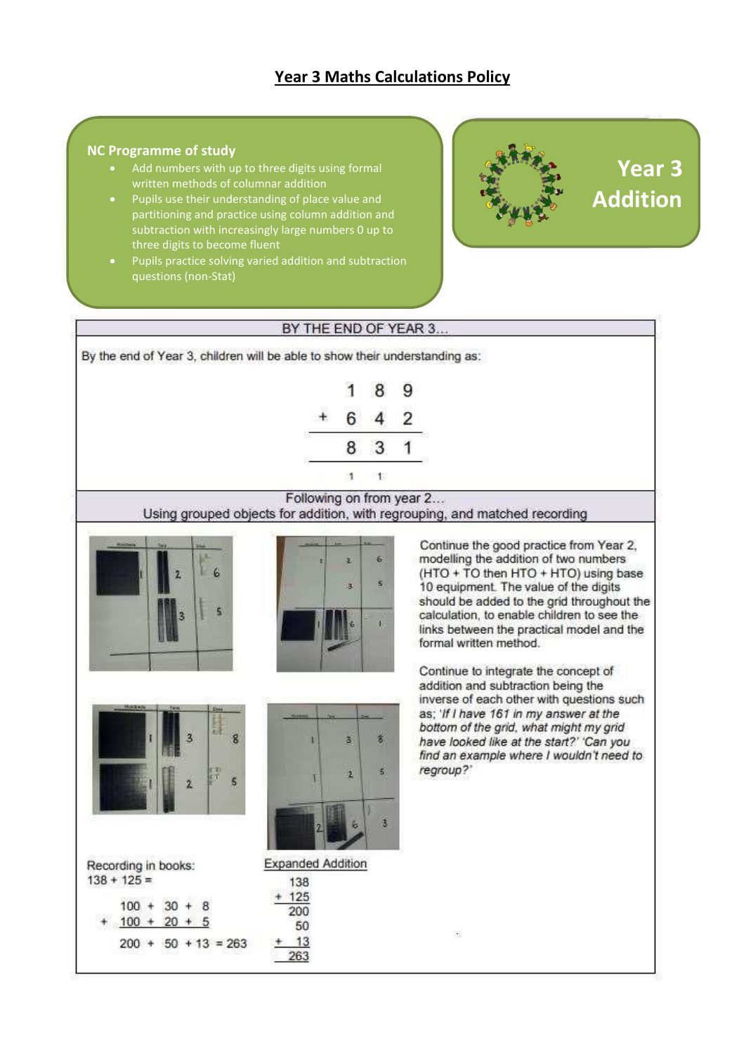### **Year 3 Maths Calculations Policy**

#### **NC Programme of study**

- Add numbers with up to three digits using formal written methods of columnar addition
- Pupils use their understanding of place value and partitioning and practice using column addition and subtraction with increasingly large numbers 0 up to three digits to become fluent
- Pupils practice solving varied addition and subtraction questions (non-Stat)



## **Year 3 Addition**

#### BY THE END OF YEAR 3...

By the end of Year 3, children will be able to show their understanding as:

|   | J. | ٦ |
|---|----|---|
|   |    |   |
| ٠ | ÷  |   |
|   | Ŷ. |   |

### Following on from year 2...

Using grouped objects for addition, with regrouping, and matched recording





Continue the good practice from Year 2, modelling the addition of two numbers (HTO + TO then HTO + HTO) using base 10 equipment. The value of the digits should be added to the grid throughout the calculation, to enable children to see the links between the practical model and the formal written method.

Continue to integrate the concept of addition and subtraction being the inverse of each other with questions such as; 'If I have 161 in my answer at the bottom of the grid, what might my grid have looked like at the start?' 'Can you find an example where I wouldn't need to regroup?"



Recording in books:  $138 + 125 =$  $100 + 30 + 8$  $+ 100 + 20 + 5$  $200 + 50 + 13 = 263$ 



138 125 200 50

13

263

ä.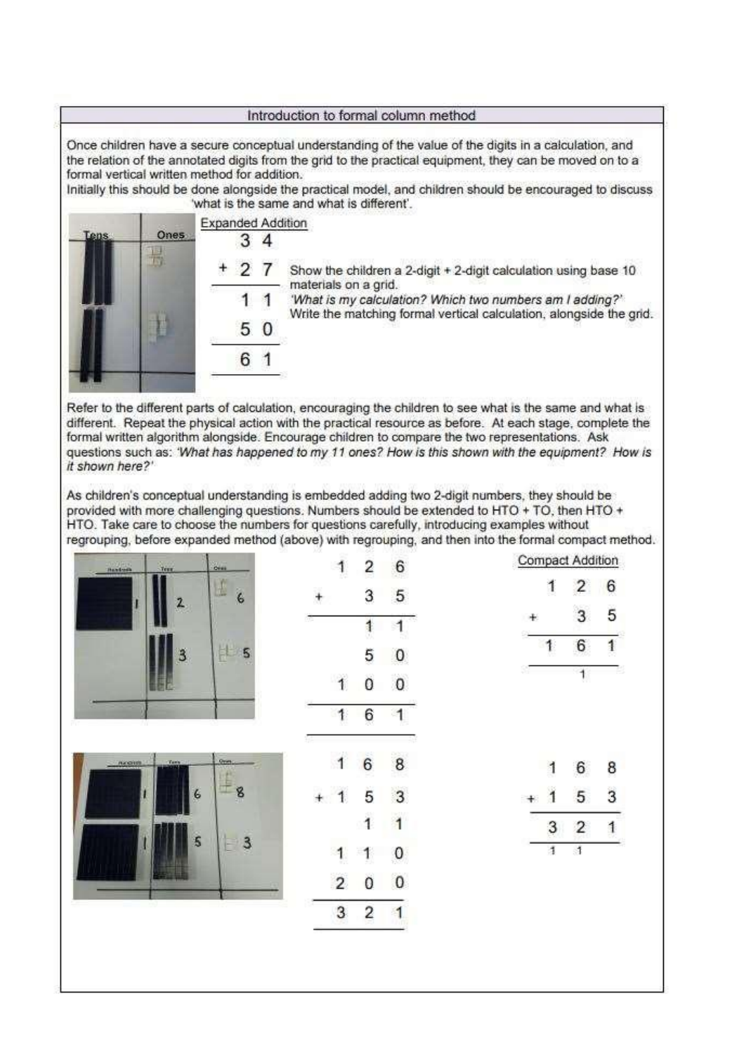#### Introduction to formal column method

Once children have a secure conceptual understanding of the value of the digits in a calculation, and the relation of the annotated digits from the grid to the practical equipment, they can be moved on to a formal vertical written method for addition.

Initially this should be done alongside the practical model, and children should be encouraged to discuss 'what is the same and what is different'.

|     |      | <b>Expanded Addition</b> |  |                                                                                         |  |  |  |  |  |
|-----|------|--------------------------|--|-----------------------------------------------------------------------------------------|--|--|--|--|--|
| ens | Ones |                          |  |                                                                                         |  |  |  |  |  |
|     |      | $+27$                    |  | Show the children a 2-digit + 2-digit calculation using base 10<br>materials on a grid. |  |  |  |  |  |
|     |      |                          |  | 'What is my calculation? Which two numbers am I adding?'                                |  |  |  |  |  |
|     |      |                          |  | Write the matching formal vertical calculation, alongside the grid.                     |  |  |  |  |  |
|     |      |                          |  |                                                                                         |  |  |  |  |  |
|     |      |                          |  |                                                                                         |  |  |  |  |  |

Refer to the different parts of calculation, encouraging the children to see what is the same and what is different. Repeat the physical action with the practical resource as before. At each stage, complete the formal written algorithm alongside. Encourage children to compare the two representations. Ask questions such as: 'What has happened to my 11 ones? How is this shown with the equipment? How is it shown here?'

As children's conceptual understanding is embedded adding two 2-digit numbers, they should be provided with more challenging questions. Numbers should be extended to HTO + TO, then HTO + HTO. Take care to choose the numbers for questions carefully, introducing examples without regrouping, before expanded method (above) with regrouping, and then into the formal compact method.

|                            | -51             | 32     |                |                | 170                     |   |                |                         |                  |
|----------------------------|-----------------|--------|----------------|----------------|-------------------------|---|----------------|-------------------------|------------------|
| .<br>Mandonin<br>Terr.     | om.             |        | 1              | $\frac{1}{2}$  | $6\phantom{1}6$         |   |                | <b>Compact Addition</b> |                  |
|                            | L<br>$\epsilon$ | $^{+}$ |                | 3              | $\sqrt{5}$              |   | 1              | $\overline{\mathbf{c}}$ | $\boldsymbol{6}$ |
| 2                          |                 |        |                | $\ddagger$     | $\overline{1}$          |   |                | 3                       | 5                |
| 3                          | $\sharp$ 5      |        |                | 5              | $\bf{0}$                |   | 1              | 6                       | $\ddagger$       |
|                            |                 |        | $\mathbf{1}$   | Ö              | $\mathbf 0$             | æ |                | 1                       | -23              |
|                            |                 |        | 1              | 6              |                         |   |                |                         |                  |
| <b>Tare</b><br>$-$ 7600000 | Over:           |        | $\mathbf{1}$   | $\overline{6}$ | 8<br>æ                  |   | 1              | $\sqrt{6}$              | 8                |
| $\epsilon$                 | œ<br>8          | $+1$   |                | 5              | $\overline{3}$          |   | $\overline{1}$ | 5                       | 3                |
|                            |                 |        |                | $\overline{1}$ | $\overline{\mathbf{1}}$ |   | 3              | $\overline{2}$          | 1                |
| 5                          | 3<br>Þ          |        | 1              | 1              | $\mathbf{0}$            |   | $\overline{4}$ | $\Lambda$               |                  |
|                            |                 |        | $\overline{2}$ | 0              | $\pmb{0}$               |   |                |                         |                  |
|                            |                 |        | 3              | 2              | $\mathbf{1}$            |   |                |                         |                  |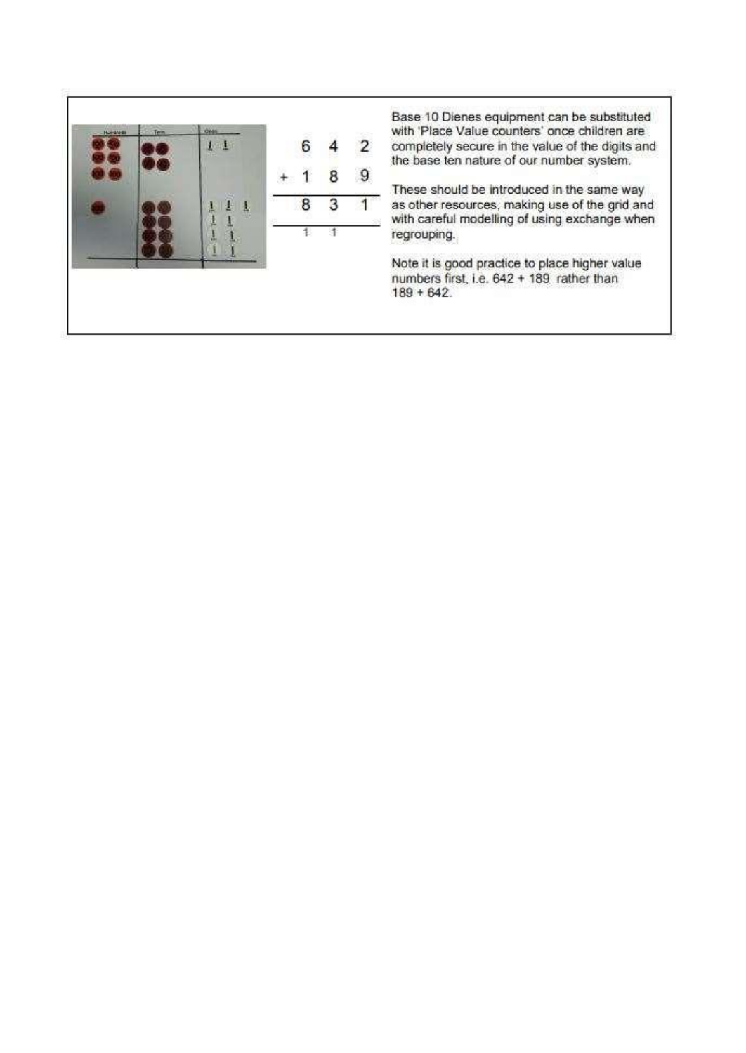

Base 10 Dienes equipment can be substituted with 'Place Value counters' once children are completely secure in the value of the digits and the base ten nature of our number system.

These should be introduced in the same way as other resources, making use of the grid and with careful modelling of using exchange when regrouping.

Note it is good practice to place higher value numbers first, i.e. 642 + 189 rather than  $189 + 642.$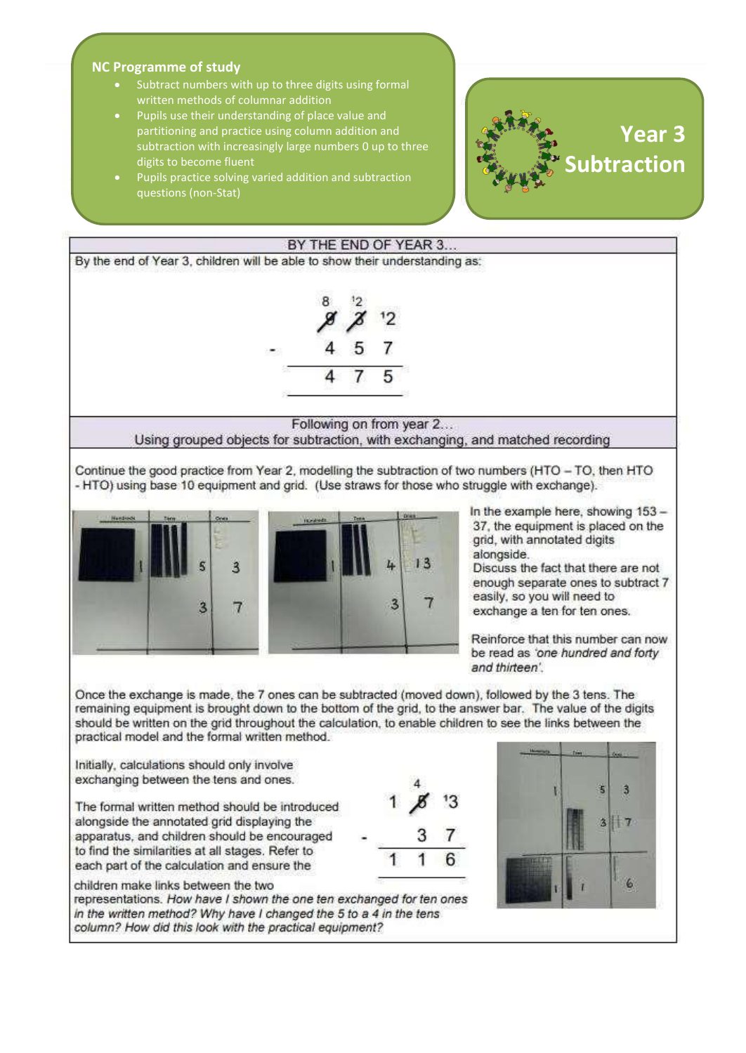#### **NC Programme of study**

- Subtract numbers with up to three digits using formal written methods of columnar addition
- Pupils use their understanding of place value and partitioning and practice using column addition and subtraction with increasingly large numbers 0 up to three digits to become fluent
- Pupils practice solving varied addition and subtraction questions (non -Stat)





remaining equipment is brought down to the bottom of the grid, to the answer bar. The value of the digits should be written on the grid throughout the calculation, to enable children to see the links between the practical model and the formal written method.

Initially, calculations should only involve exchanging between the tens and ones.

The formal written method should be introduced alongside the annotated grid displaying the apparatus, and children should be encouraged to find the similarities at all stages. Refer to each part of the calculation and ensure the

children make links between the two

representations. How have I shown the one ten exchanged for ten ones in the written method? Why have I changed the 5 to a 4 in the tens column? How did this look with the practical equipment?



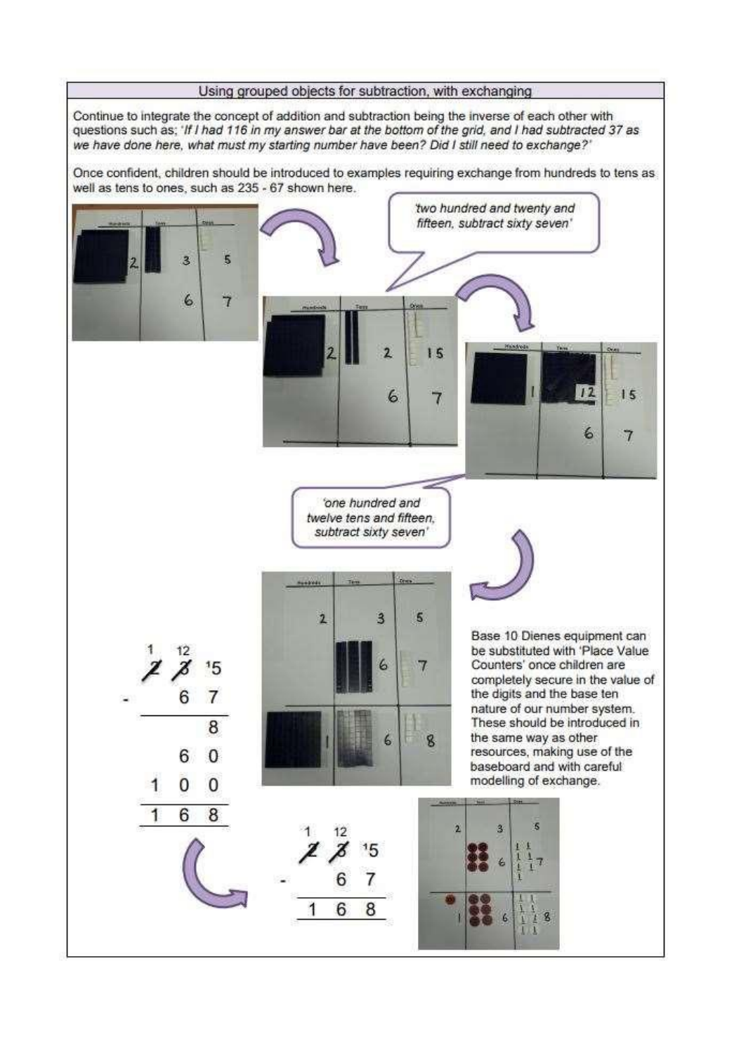

Continue to integrate the concept of addition and subtraction being the inverse of each other with questions such as; 'If I had 116 in my answer bar at the bottom of the grid, and I had subtracted 37 as we have done here, what must my starting number have been? Did I still need to exchange?'

Once confident, children should be introduced to examples requiring exchange from hundreds to tens as well as tens to ones, such as 235 - 67 shown here.

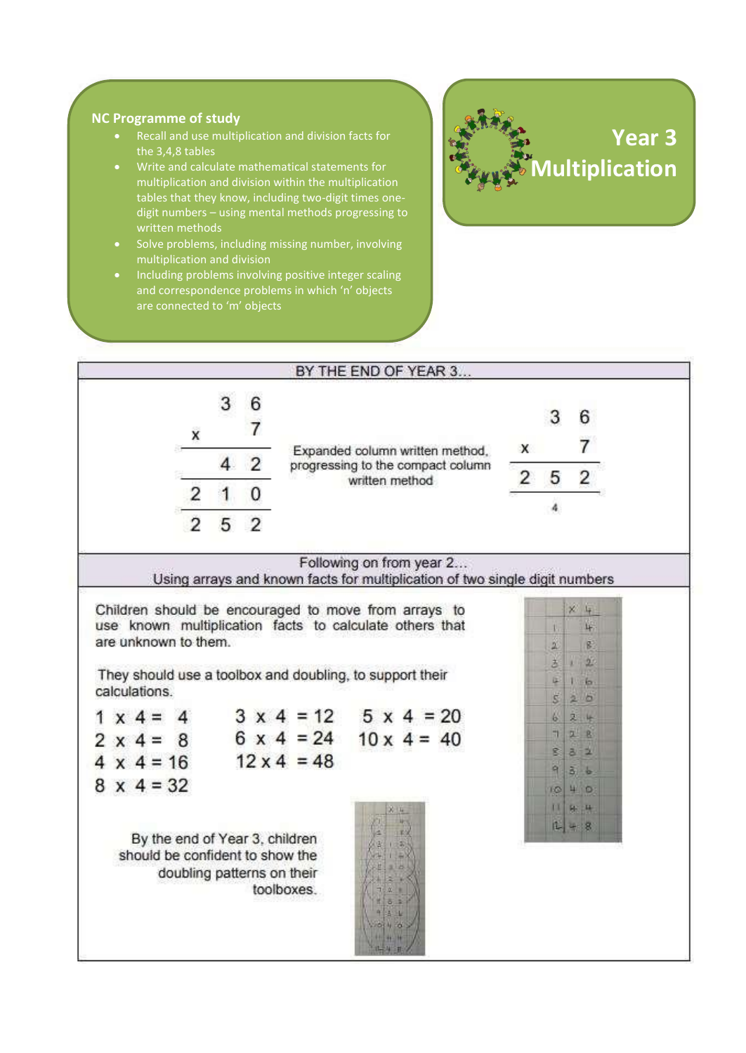#### **NC Programme of study**

- Recall and use multiplication and division facts for the 3,4,8 tables
- Write and calculate mathematical statements for multiplication and division within the multiplication tables that they know, including two-digit times onedigit numbers – using mental methods progressing to written methods
- Solve problems, including missing number, involving multiplication and division
- Including problems involving positive integer scaling and correspondence problems in which 'n' objects are connected to 'm' objects



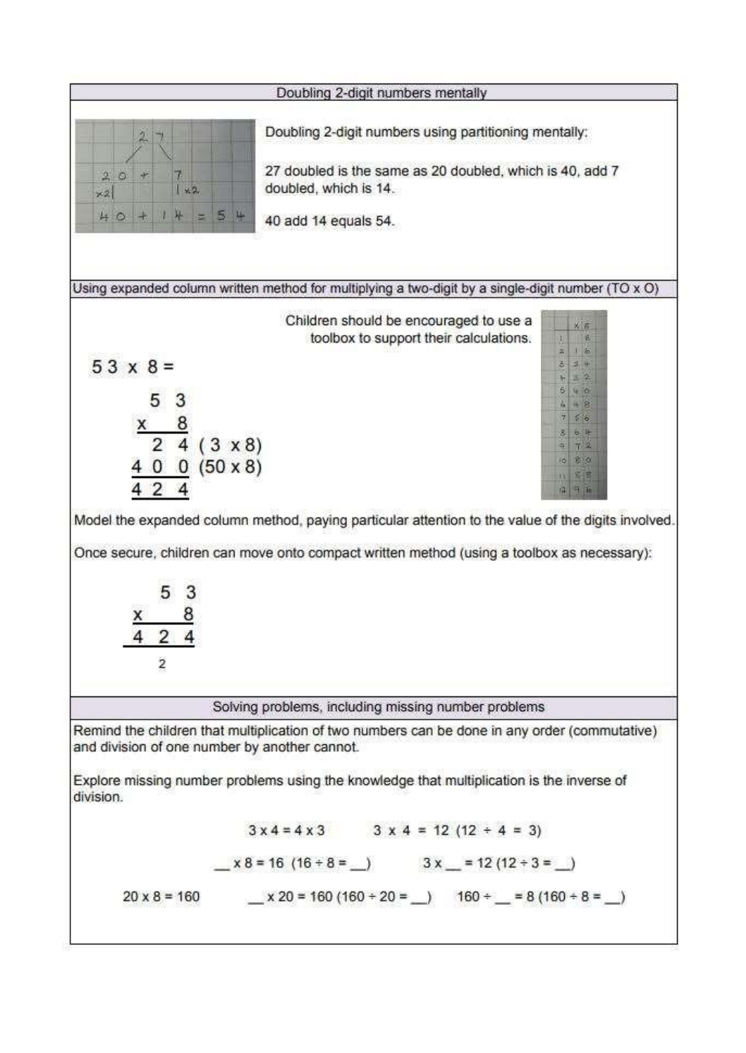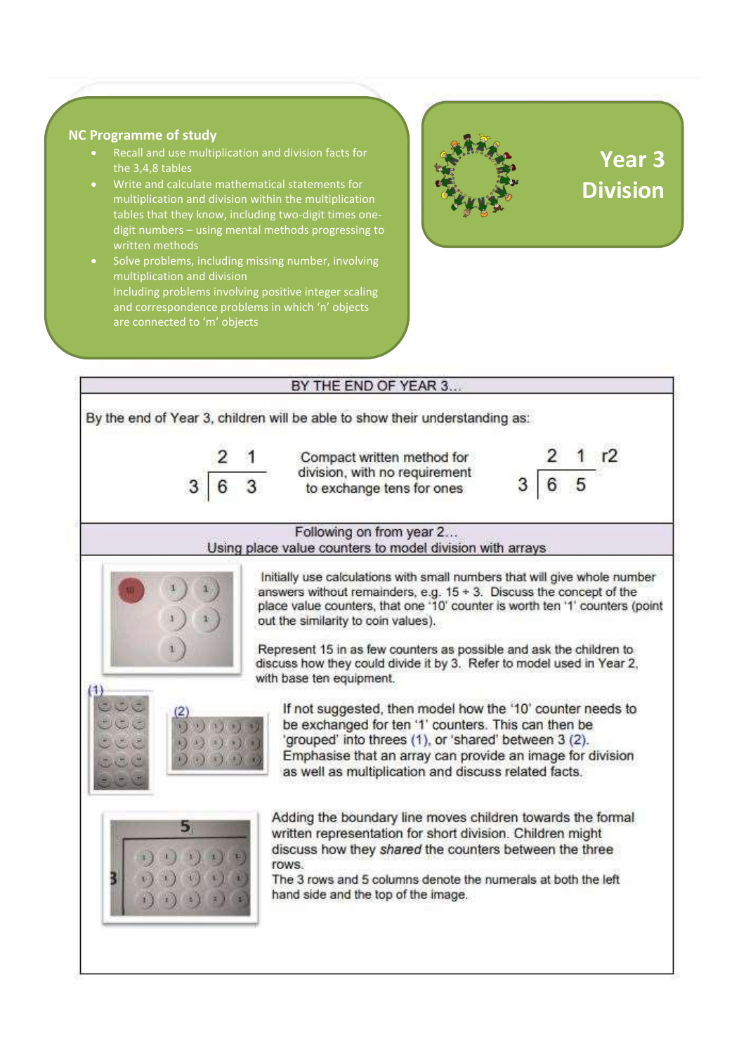#### **NC Programme of study**

- Recall and use multiplication and division facts for the 3,4,8 tables
- Write and calculate mathematical statements for multiplication and division within the multiplication tables that they know, including two -digit times one digit numbers – using mental methods progressing to
- Solve problems, including missing number, involving multiplication and division Including problems involving positive integer scaling and correspondence problems in which 'n' objects are connected to 'm' objects



# **Year 3 Division**